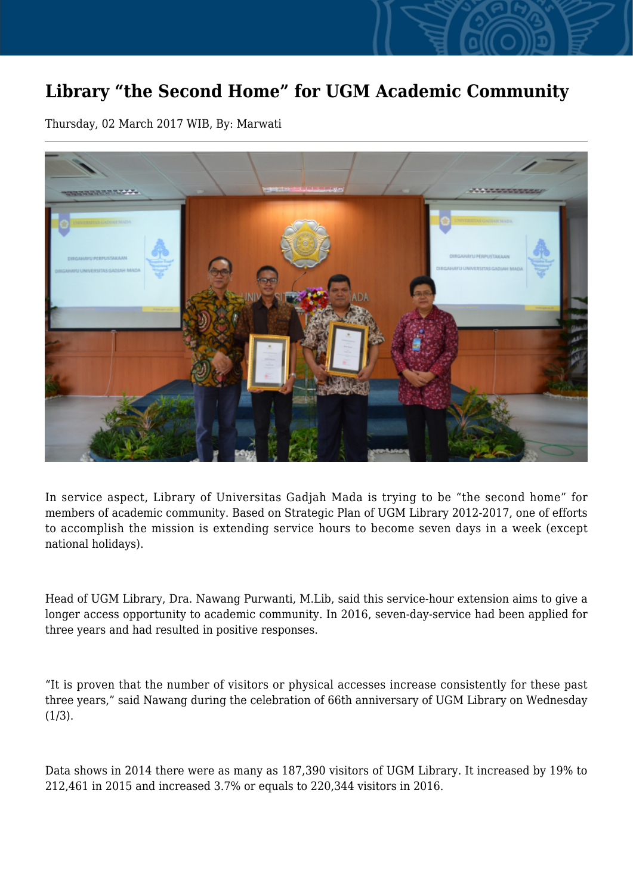## **Library "the Second Home" for UGM Academic Community**

Thursday, 02 March 2017 WIB, By: Marwati



In service aspect, Library of Universitas Gadjah Mada is trying to be "the second home" for members of academic community. Based on Strategic Plan of UGM Library 2012-2017, one of efforts to accomplish the mission is extending service hours to become seven days in a week (except national holidays).

Head of UGM Library, Dra. Nawang Purwanti, M.Lib, said this service-hour extension aims to give a longer access opportunity to academic community. In 2016, seven-day-service had been applied for three years and had resulted in positive responses.

"It is proven that the number of visitors or physical accesses increase consistently for these past three years," said Nawang during the celebration of 66th anniversary of UGM Library on Wednesday  $(1/3)$ .

Data shows in 2014 there were as many as 187,390 visitors of UGM Library. It increased by 19% to 212,461 in 2015 and increased 3.7% or equals to 220,344 visitors in 2016.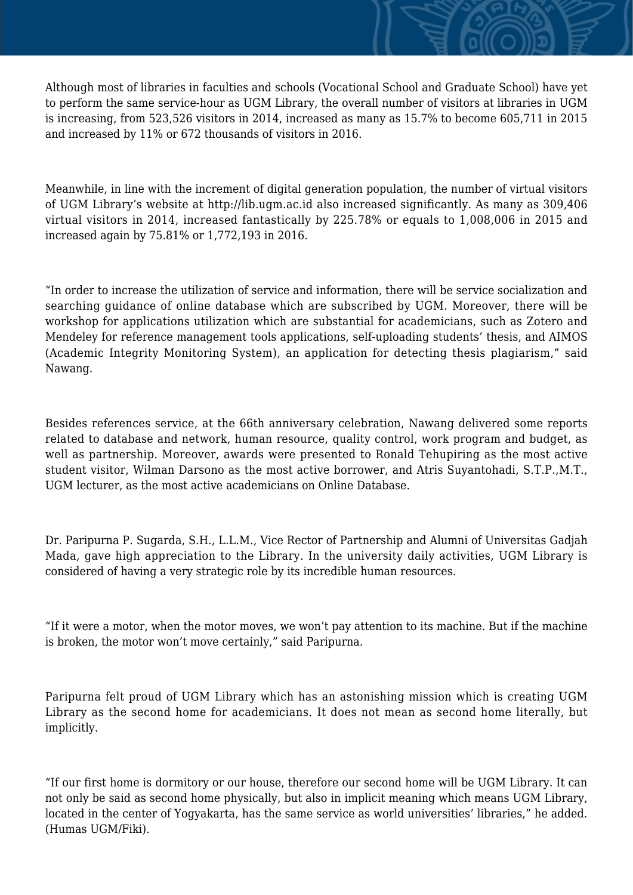Although most of libraries in faculties and schools (Vocational School and Graduate School) have yet to perform the same service-hour as UGM Library, the overall number of visitors at libraries in UGM is increasing, from 523,526 visitors in 2014, increased as many as 15.7% to become 605,711 in 2015 and increased by 11% or 672 thousands of visitors in 2016.

Meanwhile, in line with the increment of digital generation population, the number of virtual visitors of UGM Library's website at http://lib.ugm.ac.id also increased significantly. As many as 309,406 virtual visitors in 2014, increased fantastically by 225.78% or equals to 1,008,006 in 2015 and increased again by 75.81% or 1,772,193 in 2016.

"In order to increase the utilization of service and information, there will be service socialization and searching guidance of online database which are subscribed by UGM. Moreover, there will be workshop for applications utilization which are substantial for academicians, such as Zotero and Mendeley for reference management tools applications, self-uploading students' thesis, and AIMOS (Academic Integrity Monitoring System), an application for detecting thesis plagiarism," said Nawang.

Besides references service, at the 66th anniversary celebration, Nawang delivered some reports related to database and network, human resource, quality control, work program and budget, as well as partnership. Moreover, awards were presented to Ronald Tehupiring as the most active student visitor, Wilman Darsono as the most active borrower, and Atris Suyantohadi, S.T.P.,M.T., UGM lecturer, as the most active academicians on Online Database.

Dr. Paripurna P. Sugarda, S.H., L.L.M., Vice Rector of Partnership and Alumni of Universitas Gadjah Mada, gave high appreciation to the Library. In the university daily activities, UGM Library is considered of having a very strategic role by its incredible human resources.

"If it were a motor, when the motor moves, we won't pay attention to its machine. But if the machine is broken, the motor won't move certainly," said Paripurna.

Paripurna felt proud of UGM Library which has an astonishing mission which is creating UGM Library as the second home for academicians. It does not mean as second home literally, but implicitly.

"If our first home is dormitory or our house, therefore our second home will be UGM Library. It can not only be said as second home physically, but also in implicit meaning which means UGM Library, located in the center of Yogyakarta, has the same service as world universities' libraries," he added. (Humas UGM/Fiki).